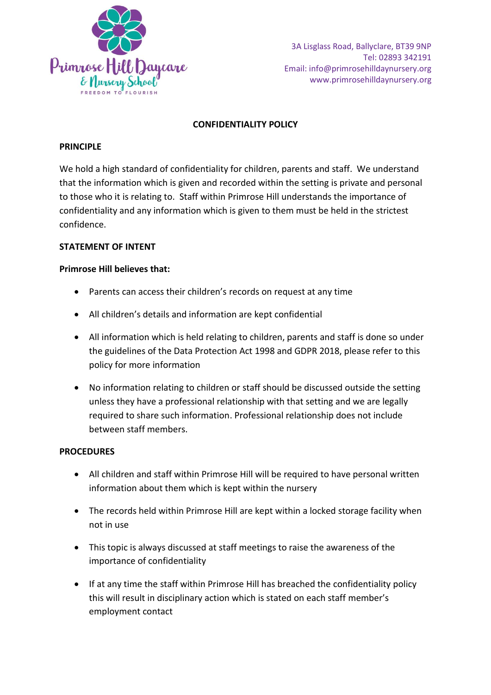

# **CONFIDENTIALITY POLICY**

## **PRINCIPLE**

We hold a high standard of confidentiality for children, parents and staff. We understand that the information which is given and recorded within the setting is private and personal to those who it is relating to. Staff within Primrose Hill understands the importance of confidentiality and any information which is given to them must be held in the strictest confidence.

### **STATEMENT OF INTENT**

### **Primrose Hill believes that:**

- Parents can access their children's records on request at any time
- All children's details and information are kept confidential
- All information which is held relating to children, parents and staff is done so under the guidelines of the Data Protection Act 1998 and GDPR 2018, please refer to this policy for more information
- No information relating to children or staff should be discussed outside the setting unless they have a professional relationship with that setting and we are legally required to share such information. Professional relationship does not include between staff members.

#### **PROCEDURES**

- All children and staff within Primrose Hill will be required to have personal written information about them which is kept within the nursery
- The records held within Primrose Hill are kept within a locked storage facility when not in use
- This topic is always discussed at staff meetings to raise the awareness of the importance of confidentiality
- If at any time the staff within Primrose Hill has breached the confidentiality policy this will result in disciplinary action which is stated on each staff member's employment contact